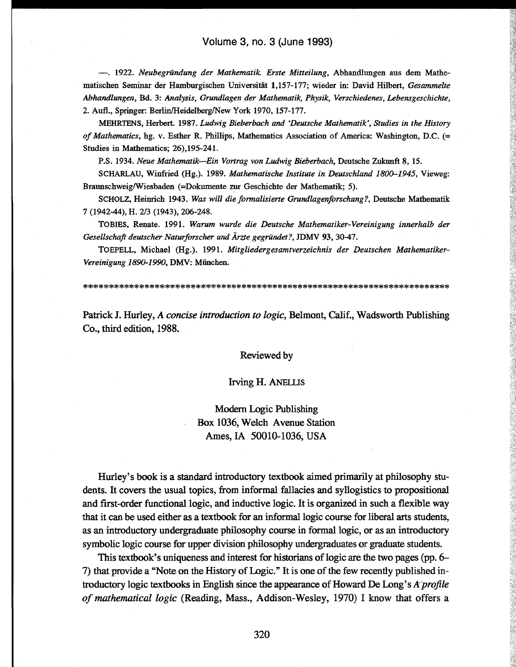—. 1922. *Neubegründung der Mathematik Erste Mitteilung,* Abhandlungen aus dem Mathematischen Seminar der Hamburgischen Universität 1,157-177; wieder in: David Hubert, *Gesammelte Abhandlungen,* Bd. 3: *Analysis, Grundlagen der Mathematik, Physik, Verschiedenes, Lebensgeschichte,* 2. Aufl., Springer: Berlin/Heidelberg/New York 1970, 157-177.

MEHRTENS, Herbert. 1987. *Ludwig Bieberbach and 'Deutsche Mathematik', Studies in the History of Mathematics,* hg. v. Esther R. Phillips, Mathematics Association of America: Washington, D.C. (= Studies in Mathematics; 26),195-241.

P.S. 1934. *Neue Mathematik*—*Ein Vortrag von Ludwig Bieberbach,* Deutsche Zukunft 8, 15.

SCHARLAU, Winfried (Hg.). 1989. *Mathematische Institute in Deutschland 1800-1945,* Vieweg: Braunschweig/Wiesbaden (=Dokumente zur Geschichte der Mathematik; 5).

SCHOLZ, Heinrich 1943. *Was will die formalisierte Grundlagenforschung?,* Deutsche Mathematik 7 (1942-44), H. 2/3 (1943), 206-248.

TOBIES, Renate. 1991. *Warum wurde die Deutsche Mathematiker-Vereinigung innerhalb der Gesellschaft deutscher Naturforscher und Ärzte gegründet?,* JDMV 93, 3047.

TOEPELL, Michael (Hg.). 1991. *Mitgliedergesamtverzeichnis der Deutschen Mathematiker-Vereinigung 1890-1990,* DMV: München.

Patrick J. Hurley, *A concise introduction to logic,* Belmont, Calif., Wadsworth Publishing Co., third edition, 1988.

## Reviewed by

## Irving H. ANELLIS

Modern Logic Publishing Box 1036, Welch Avenue Station Ames,IA 50010-1036, USA

Hurley's book is a standard introductory textbook aimed primarily at philosophy students. It covers the usual topics, from informal fallacies and syllogistics to prepositional and first-order functional logic, and inductive logic. It is organized in such a flexible way that it can be used either as a textbook for an informal logic course for liberal arts students, as an introductory undergraduate philosophy course in formal logic, or as an introductory symbolic logic course for upper division philosophy undergraduates or graduate students.

This textbook's uniqueness and interest for historians of logic are the two pages (pp. 6- 7) that provide a "Note on the History of Logic." It is one of the few recently published introductory logic textbooks in English since the appearance of Howard De Long's *Arprofile of mathematical logic* (Reading, Mass., Addison-Wesley, 1970) I know that offers a